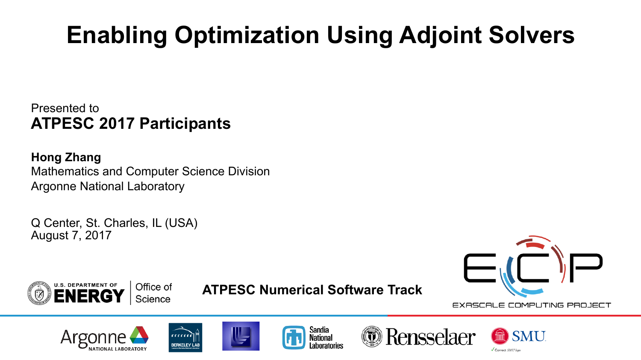# **Enabling Optimization Using Adjoint Solvers**

Presented to **ATPESC 2017 Participants**

**Hong Zhang** Mathematics and Computer Science Division Argonne National Laboratory

Q Center, St. Charles, IL (USA) August 7, 2017





**ATPESC Numerical Software Track**

EXASCALE COMPUTING PROJECT









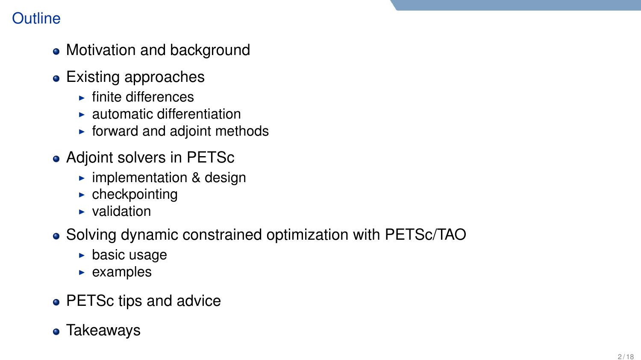# **Outline**

- Motivation and background
- Existing approaches
	- $\blacktriangleright$  finite differences
	- $\blacktriangleright$  automatic differentiation
	- $\blacktriangleright$  forward and adjoint methods
- Adjoint solvers in PETSc
	- $\blacktriangleright$  implementation & design
	- $\blacktriangleright$  checkpointing
	- $\blacktriangleright$  validation
- Solving dynamic constrained optimization with PETSc/TAO
	- $\blacktriangleright$  basic usage
	- $\blacktriangleright$  examples
- PETSc tips and advice
- Takeaways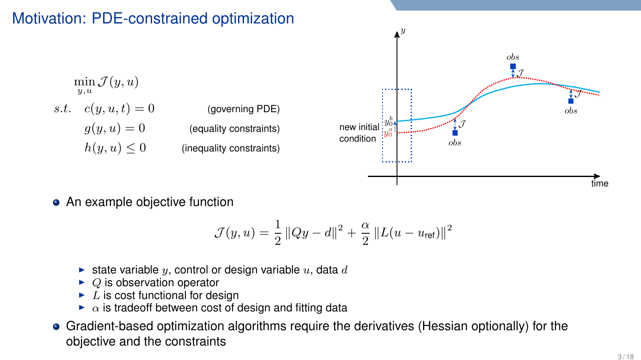## Motivation: PDE-constrained optimization

 $\min \mathcal{J}(y,u)$  $u, u$ 

| (governing PDE)          | <i>s.t.</i> $c(y, u, t) = 0$ |  |
|--------------------------|------------------------------|--|
| (equality constraints)   | $g(y, u) = 0$                |  |
| (inequality constraints) | $h(y, u) \leq 0$             |  |



• An example objective function

$$
\mathcal{J}(y, u) = \frac{1}{2} ||Qy - d||^{2} + \frac{\alpha}{2} ||L(u - u_{\text{ref}})||^{2}
$$

- ightharpoonup state variable y, control or design variable  $u$ , data d
- $\blacktriangleright$  Q is observation operator
- $\blacktriangleright$  L is cost functional for design
- $\triangleright$   $\alpha$  is tradeoff between cost of design and fitting data
- Gradient-based optimization algorithms require the derivatives (Hessian optionally) for the objective and the constraints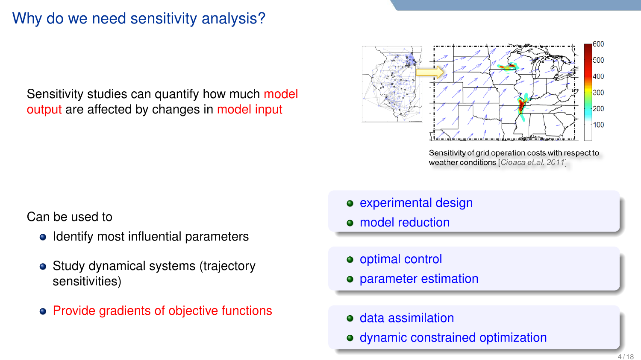# Why do we need sensitivity analysis?

Sensitivity studies can quantify how much model output are affected by changes in model input

500 400  $300$  $200$ 100

> Sensitivity of grid operation costs with respect to weather conditions [Cioaca et.al. 2011]

Can be used to

- Identify most influential parameters
- Study dynamical systems (trajectory sensitivities)
- Provide gradients of objective functions
- experimental design
- **o** model reduction
- optimal control
- **•** parameter estimation
- **e** data assimilation
- dynamic constrained optimization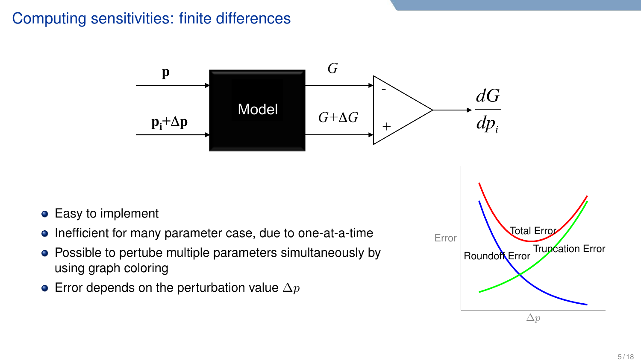## Computing sensitivities: finite differences



- **•** Easy to implement
- Inefficient for many parameter case, due to one-at-a-time
- Possible to pertube multiple parameters simultaneously by using graph coloring
- Error depends on the perturbation value  $\Delta p$

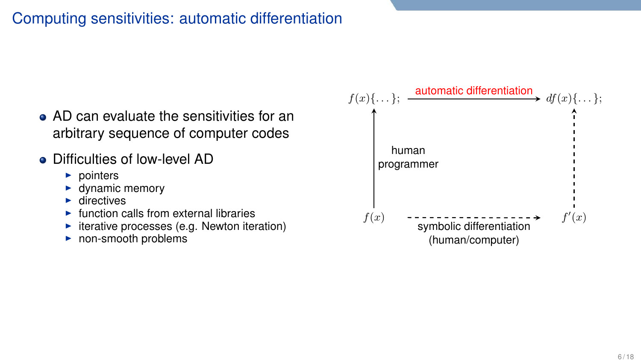# Computing sensitivities: automatic differentiation

- AD can evaluate the sensitivities for an arbitrary sequence of computer codes
- Difficulties of low-level AD
	- $\blacktriangleright$  pointers
	- $\blacktriangleright$  dynamic memory
	- $\blacktriangleright$  directives
	- function calls from external libraries
	- $\blacktriangleright$  iterative processes (e.g. Newton iteration)
	- $\triangleright$  non-smooth problems

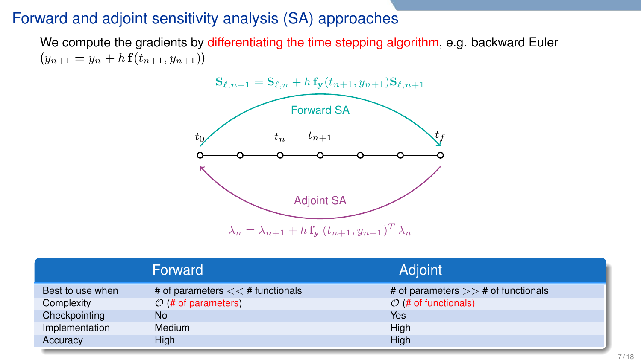## Forward and adjoint sensitivity analysis (SA) approaches

We compute the gradients by differentiating the time stepping algorithm, e.g. backward Euler  $(y_{n+1} = y_n + h f(t_{n+1}, y_{n+1}))$ 



|                  | Forward                            | <b>Adjoint</b>                        |
|------------------|------------------------------------|---------------------------------------|
| Best to use when | # of parameters $<<$ # functionals | # of parameters $>>$ # of functionals |
| Complexity       | $O$ (# of parameters)              | $O$ (# of functionals)                |
| Checkpointing    | No                                 | Yes                                   |
| Implementation   | Medium                             | High                                  |
| Accuracy         | Hiah                               | High                                  |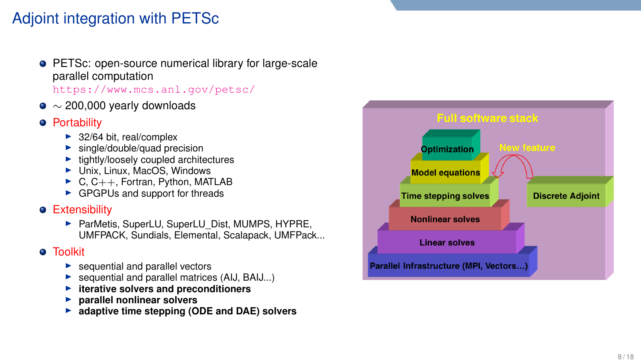# Adjoint integration with PETSc

- **PETSc: open-source numerical library for large-scale** parallel computation <https://www.mcs.anl.gov/petsc/>
- $\bullet \sim$  200,000 yearly downloads
- **•** Portability
	-
	-
	-
	-
	- **IMPLE 32/64 bit, real/complex i single/double/quad precision**<br> **I** tightly/loosely coupled architectures<br> **I** Unix, Linux, MacOS, Windows I C, C++, Fortran, Python, MATLAB<br> **IMPLE GPGPUs and support for threads**
	-

#### **•** Extensibility

▶ ParMetis, SuperLU, SuperLU\_Dist, MUMPS, HYPRE, UMFPACK, Sundials, Elemental, Scalapack, UMFPack...

#### **a** Toolkit

- 
- **Example 1** sequential and parallel vectors<br> **Example 1** sequential and parallel matrices (AIJ, BAIJ...)<br> **Example 1 parallel nonlinear solvers**<br> **Example 1 is adaptive time stepping (ODE and DAE) solvers**<br> **Example 1**
- 
- 
- 

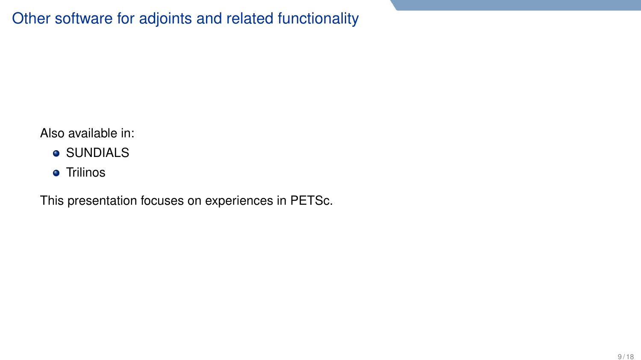Also available in:

- **SUNDIALS**
- **•** Trilinos

This presentation focuses on experiences in PETSc.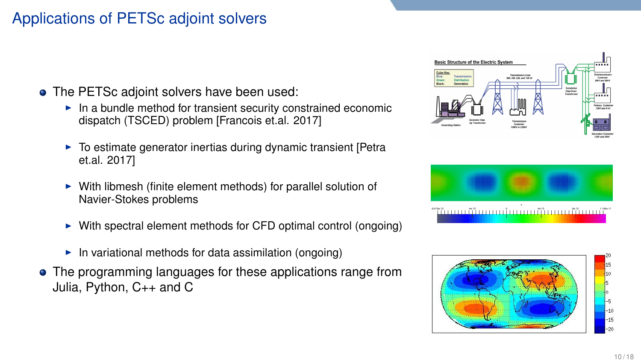# Applications of PETSc adjoint solvers

- The PETSc adjoint solvers have been used:
	- $\blacktriangleright$  In a bundle method for transient security constrained economic dispatch (TSCED) problem [Francois et.al. 2017]
	- $\triangleright$  To estimate generator inertias during dynamic transient [Petra et.al. 2017]
	- $\triangleright$  With libmesh (finite element methods) for parallel solution of Navier-Stokes problems
	- $\triangleright$  With spectral element methods for CFD optimal control (ongoing)
	- $\blacktriangleright$  In variational methods for data assimilation (ongoing)
- The programming languages for these applications range from → With spectral element methods for CFD optimal control (ongoing)<br>
→ In variational methods for data assimilation (ongoing)<br>
Julia, Python, C++ and C<br>
Julia, Python, C++ and C





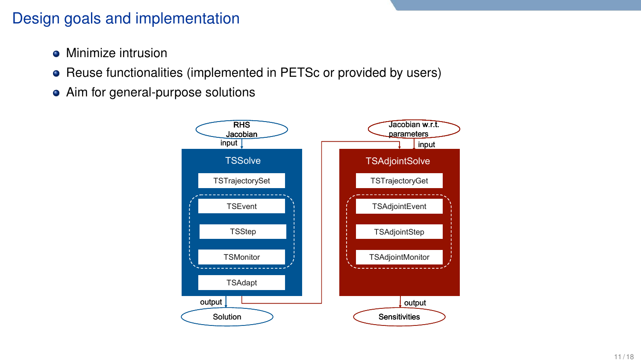## Design goals and implementation

- Minimize intrusion
- Reuse functionalities (implemented in PETSc or provided by users)
- Aim for general-purpose solutions

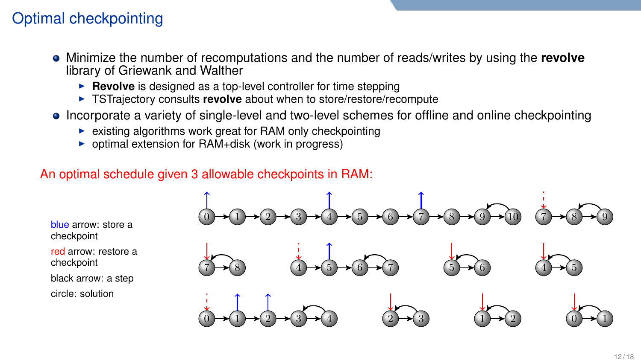# Optimal checkpointing

- Minimize the number of recomputations and the number of reads/writes by using the **revolve** library of Griewank and Walther
	- **Revolve** is designed as a top-level controller for time stepping
	- ► TSTrajectory consults **revolve** about when to store/restore/recompute
- Incorporate a variety of single-level and two-level schemes for offline and online checkpointing
	- $\triangleright$  existing algorithms work great for RAM only checkpointing
	- $\triangleright$  optimal extension for RAM+disk (work in progress)

#### An optimal schedule given 3 allowable checkpoints in RAM:



blue arrow: store a checkpoint

red arrow: restore a checkpoint

black arrow: a step circle: solution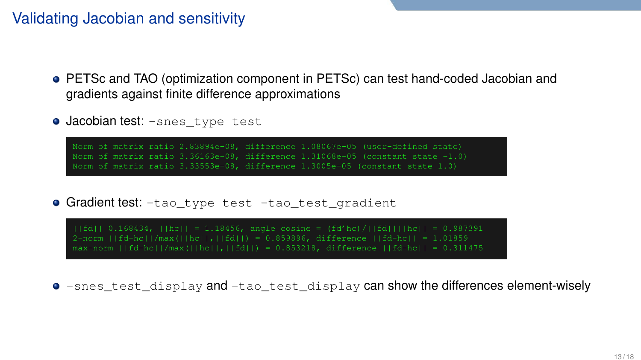## Validating Jacobian and sensitivity

- PETSc and TAO (optimization component in PETSc) can test hand-coded Jacobian and gradients against finite difference approximations
- **Jacobian test:** -snes\_type test

Norm of matrix ratio 2.83894e-08, difference 1.08067e-05 (user-defined state) Norm of matrix ratio 3.33553e-08, difference 1.3005e-05 (constant state 1.0)

**Gradient test:** -tao\_type test -tao\_test\_gradient

 $|$ ||fd|| 0.168434, ||hc|| = 1.18456, angle cosine = (fd'hc)/||fd|||hc|| = 0.987391 2-norm ||fd-hc||/max(||hc||,||fd||) = 0.859896, difference ||fd-hc|| = 1.01859 max-norm  $||fd-hc||/max(||hcl|,||fd||) = 0.853218$ , difference  $||fd-hcl|| = 0.311475$ 

 $\bullet$  -snes test display and -tao test display can show the differences element-wisely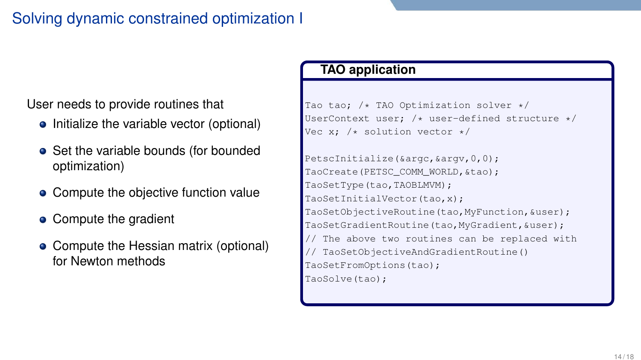# Solving dynamic constrained optimization I

User needs to provide routines that

- Initialize the variable vector (optional)
- Set the variable bounds (for bounded optimization)
- Compute the objective function value
- Compute the gradient
- Compute the Hessian matrix (optional) for Newton methods

#### **TAO application**

```
Tao tao; /* TAO Optimization solver */
UserContext user: /* user-defined structure */Vec x: /* solution vector */
```
PetscInitialize(&argc,&argv,0,0); TaoCreate(PETSC\_COMM\_WORLD, &tao); TaoSetType(tao,TAOBLMVM); TaoSetInitialVector(tao,x); TaoSetObjectiveRoutine(tao,MyFunction,&user); TaoSetGradientRoutine(tao,MyGradient,&user); // The above two routines can be replaced with // TaoSetObjectiveAndGradientRoutine() TaoSetFromOptions(tao); TaoSolve(tao);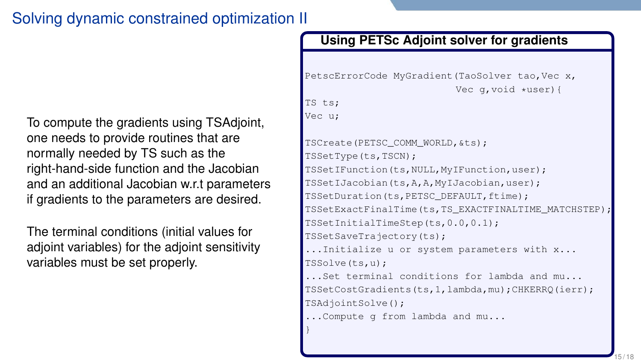# Solving dynamic constrained optimization II

To compute the gradients using TSAdjoint, one needs to provide routines that are normally needed by TS such as the right-hand-side function and the Jacobian and an additional Jacobian w.r.t parameters if gradients to the parameters are desired.

The terminal conditions (initial values for adjoint variables) for the adjoint sensitivity variables must be set properly.

#### **Using PETSc Adjoint solver for gradients**

```
PetscErrorCode MyGradient (TaoSolver tao, Vec x,
                           Vec g, void *user) {
```

```
TS ts;
Vec u;
```

```
TSCreate(PETSC_COMM_WORLD,&ts);
TSSetType(ts,TSCN);
TSSetIFunction(ts,NULL,MyIFunction,user);
TSSetIJacobian(ts,A,A,MyIJacobian,user);
TSSetDuration(ts,PETSC_DEFAULT,ftime);
TSSetExactFinalTime(ts,TS_EXACTFINALTIME_MATCHSTEP);
TSSetInitialTimeStep(ts,0.0,0.1);
TSSetSaveTrajectory(ts);
...Initialize u or system parameters with x...
TSSolve(ts,u);
...Set terminal conditions for lambda and mu...
TSSetCostGradients(ts,1,lambda,mu);CHKERRQ(ierr);
TSAdjointSolve();
...Compute g from lambda and mu...
}
```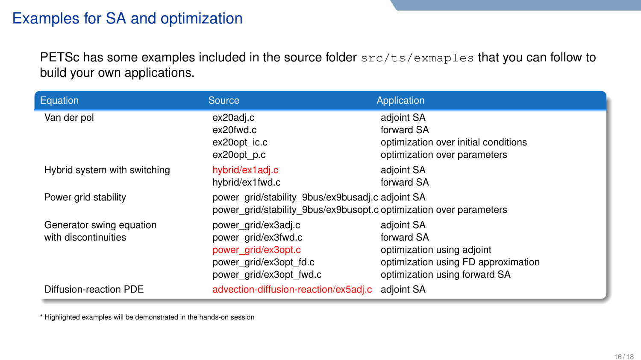# Examples for SA and optimization

PETSc has some examples included in the source folder  $src/ts/examples$  that you can follow to build your own applications.

| Equation                                         | Source                                                                                                                 | Application                                                                                                                    |  |
|--------------------------------------------------|------------------------------------------------------------------------------------------------------------------------|--------------------------------------------------------------------------------------------------------------------------------|--|
| Van der pol                                      | ex20adj.c<br>ex20fwd.c<br>ex20opt ic.c<br>ex20opt p.c                                                                  | adjoint SA<br>forward SA<br>optimization over initial conditions<br>optimization over parameters                               |  |
| Hybrid system with switching                     | hybrid/ex1adj.c<br>hybrid/ex1fwd.c                                                                                     | adjoint SA<br>forward SA                                                                                                       |  |
| Power grid stability                             | power grid/stability 9bus/ex9busadj.c adjoint SA<br>power grid/stability 9bus/ex9busopt.c optimization over parameters |                                                                                                                                |  |
| Generator swing equation<br>with discontinuities | power grid/ex3adj.c<br>power grid/ex3fwd.c<br>power grid/ex3opt.c<br>power grid/ex3opt fd.c<br>power grid/ex3opt fwd.c | adjoint SA<br>forward SA<br>optimization using adjoint<br>optimization using FD approximation<br>optimization using forward SA |  |
| Diffusion-reaction PDE                           | advection-diffusion-reaction/ex5adj.c                                                                                  | adjoint SA                                                                                                                     |  |

\* Highlighted examples will be demonstrated in the hands-on session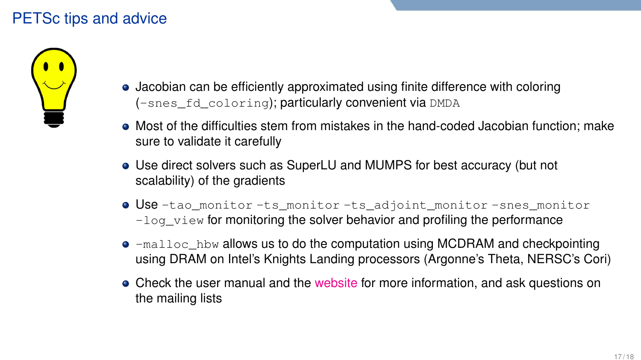# PETSc tips and advice



- Jacobian can be efficiently approximated using finite difference with coloring (-snes\_fd\_coloring); particularly convenient via DMDA
- Most of the difficulties stem from mistakes in the hand-coded Jacobian function; make sure to validate it carefully
- Use direct solvers such as SuperLU and MUMPS for best accuracy (but not scalability) of the gradients
- Use -tao\_monitor -ts\_monitor -ts\_adjoint\_monitor -snes\_monitor  $-\log_\text{view}$  for monitoring the solver behavior and profiling the performance
- $\bullet$  -malloc\_hbw allows us to do the computation using MCDRAM and checkpointing using DRAM on Intel's Knights Landing processors (Argonne's Theta, NERSC's Cori)
- Check the user manual and the [website](https://www.mcs.anl.gov/petsc/) for more information, and ask questions on the mailing lists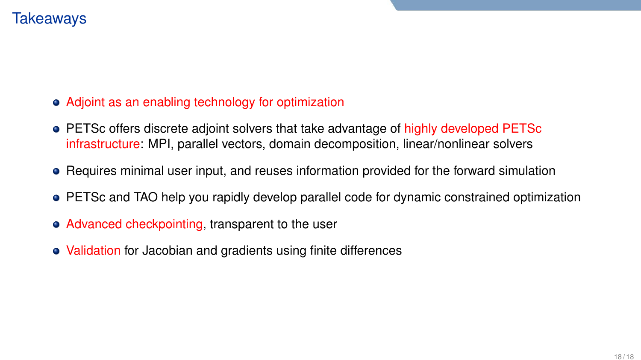### **Takeawavs**

#### Adjoint as an enabling technology for optimization

- PETSc offers discrete adjoint solvers that take advantage of highly developed PETSc infrastructure: MPI, parallel vectors, domain decomposition, linear/nonlinear solvers
- Requires minimal user input, and reuses information provided for the forward simulation
- PETSc and TAO help you rapidly develop parallel code for dynamic constrained optimization
- Advanced checkpointing, transparent to the user
- Validation for Jacobian and gradients using finite differences